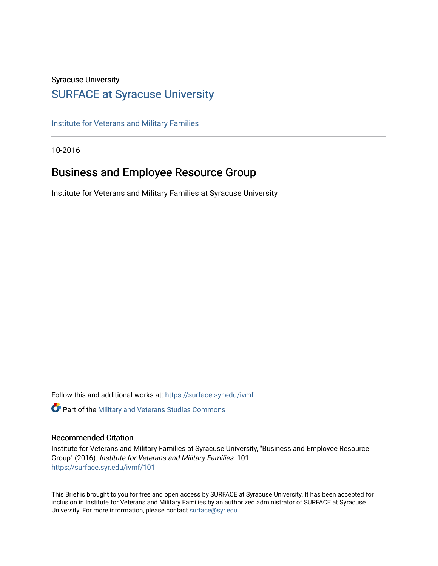### Syracuse University

### [SURFACE at Syracuse University](https://surface.syr.edu/)

[Institute for Veterans and Military Families](https://surface.syr.edu/ivmf)

10-2016

## Business and Employee Resource Group

Institute for Veterans and Military Families at Syracuse University

Follow this and additional works at: [https://surface.syr.edu/ivmf](https://surface.syr.edu/ivmf?utm_source=surface.syr.edu%2Fivmf%2F101&utm_medium=PDF&utm_campaign=PDFCoverPages)  **C** Part of the [Military and Veterans Studies Commons](http://network.bepress.com/hgg/discipline/396?utm_source=surface.syr.edu%2Fivmf%2F101&utm_medium=PDF&utm_campaign=PDFCoverPages)

### Recommended Citation

Institute for Veterans and Military Families at Syracuse University, "Business and Employee Resource Group" (2016). Institute for Veterans and Military Families. 101. [https://surface.syr.edu/ivmf/101](https://surface.syr.edu/ivmf/101?utm_source=surface.syr.edu%2Fivmf%2F101&utm_medium=PDF&utm_campaign=PDFCoverPages) 

This Brief is brought to you for free and open access by SURFACE at Syracuse University. It has been accepted for inclusion in Institute for Veterans and Military Families by an authorized administrator of SURFACE at Syracuse University. For more information, please contact [surface@syr.edu.](mailto:surface@syr.edu)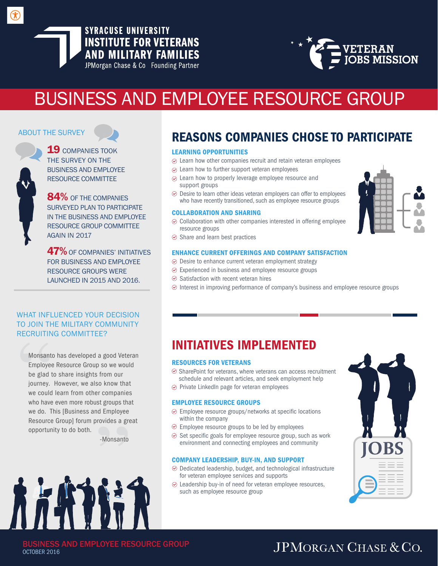### **SYRACUSE UNIVERSITY INSTITUTE FOR VETERANS AND MILITARY FAMILIES** JPMorgan Chase & Co Founding Partner

VETERAN<br>JOBS MISSION

# BUSINESS AND EMPLOYEE RESOURCE GROUP

### ABOUT THE SURVEY

**19 COMPANIES TOOK** THE SURVEY ON THE BUSINESS AND EMPLOYEE RESOURCE COMMITTEE

84% OF THE COMPANIES SURVEYED PLAN TO PARTICIPATE IN THE BUSINESS AND EMPLOYEE RESOURCE GROUP COMMITTEE AGAIN IN 2017

**47%** OF COMPANIES' INITIATIVES FOR BUSINESS AND EMPLOYEE RESOURCE GROUPS WERE LAUNCHED IN 2015 AND 2016.

### WHAT INFLUENCED YOUR DECISION TO JOIN THE MILITARY COMMUNITY RECRUITING COMMITTEE?

Monsanto has developed a good Veteran Employee Resource Group so we would be glad to share insights from our journey. However, we also know that we could learn from other companies who have even more robust groups that we do. This [Business and Employee Resource Group] forum provides a great opportunity to do both.

-Monsanto



# REASONS COMPANIES CHOSE TO PARTICIPATE

### LEARNING OPPORTUNITIES

- $\odot$  Learn how other companies recruit and retain veteran employees
- $\odot$  Learn how to further support veteran employees
- $\odot$  Learn how to properly leverage employee resource and support groups
- $\odot$  Desire to learn other ideas veteran employers can offer to employees who have recently transitioned, such as employee resource groups

### COLLABORATION AND SHARING

- $\odot$  Collaboration with other companies interested in offering employee resource groups
- $\odot$  Share and learn best practices

### ENHANCE CURRENT OFFERINGS AND COMPANY SATISFACTION

- $\odot$  Desire to enhance current veteran employment strategy
- Experienced in business and employee resource groups
- $\odot$  Satisfaction with recent veteran hires
- $\odot$  Interest in improving performance of company's business and employee resource groups

# INITIATIVES IMPLEMENTED

### RESOURCES FOR VETERANS

- $\odot$  SharePoint for veterans, where veterans can access recruitment schedule and relevant articles, and seek employment help
- $\odot$  Private LinkedIn page for veteran employees

### EMPLOYEE RESOURCE GROUPS

- $\odot$  Employee resource groups/networks at specific locations within the company
- $\odot$  Employee resource groups to be led by employees
- $\odot$  Set specific goals for employee resource group, such as work environment and connecting employees and community

### COMPANY LEADERSHIP, BUY-IN, AND SUPPORT

- $\odot$  Dedicated leadership, budget, and technological infrastructure for veteran employee services and supports
- $\odot$  Leadership buy-in of need for veteran employee resources, such as employee resource group





BUSINESS AND EMPLOYEE RESOURCE GROUP OCTOBER 2016

# JPMORGAN CHASE & CO.